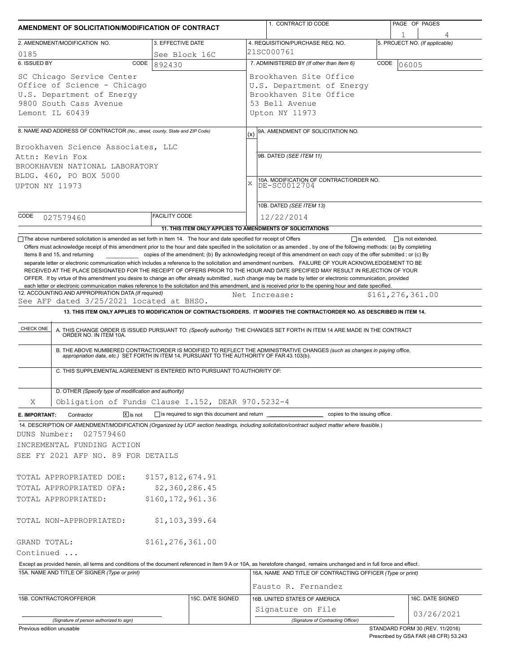| 3. EFFECTIVE DATE<br>2. AMENDMENT/MODIFICATION NO.<br>0185<br>See Block 16C<br>6. ISSUED BY<br>CODE<br>892430<br>SC Chicago Service Center<br>Office of Science - Chicago<br>U.S. Department of Energy<br>9800 South Cass Avenue<br>Lemont IL 60439<br>8. NAME AND ADDRESS OF CONTRACTOR (No., street, county, State and ZIP Code)<br>(x)<br>Brookhaven Science Associates, LLC<br>Attn: Kevin Fox<br>BROOKHAVEN NATIONAL LABORATORY<br>BLDG. 460, PO BOX 5000<br>$\mathbf x$<br>UPTON NY 11973<br><b>FACILITY CODE</b><br>CODE<br>027579460<br>11. THIS ITEM ONLY APPLIES TO AMENDMENTS OF SOLICITATIONS<br>The above numbered solicitation is amended as set forth in Item 14. The hour and date specified for receipt of Offers<br>Offers must acknowledge receipt of this amendment prior to the hour and date specified in the solicitation or as amended, by one of the following methods: (a) By completing<br>Items 8 and 15, and returning<br>separate letter or electronic communication which includes a reference to the solicitation and amendment numbers. FAILURE OF YOUR ACKNOWLEDGEMENT TO BE<br>RECEIVED AT THE PLACE DESIGNATED FOR THE RECEIPT OF OFFERS PRIOR TO THE HOUR AND DATE SPECIFIED MAY RESULT IN REJECTION OF YOUR<br>OFFER. If by virtue of this amendment you desire to change an offer already submitted, such change may be made by letter or electronic communication, provided<br>each letter or electronic communication makes reference to the solicitation and this amendment, and is received prior to the opening hour and date specified.<br>12. ACCOUNTING AND APPROPRIATION DATA (If required)<br>See AFP dated 3/25/2021 located at BHSO.<br>13. THIS ITEM ONLY APPLIES TO MODIFICATION OF CONTRACTS/ORDERS. IT MODIFIES THE CONTRACT/ORDER NO. AS DESCRIBED IN ITEM 14.<br>CHECK ONE<br>A. THIS CHANGE ORDER IS ISSUED PURSUANT TO: (Specify authority) THE CHANGES SET FORTH IN ITEM 14 ARE MADE IN THE CONTRACT ORDER NO. IN ITEM 10A.<br>B. THE ABOVE NUMBERED CONTRACT/ORDER IS MODIFIED TO REFLECT THE ADMINISTRATIVE CHANGES (such as changes in paying office,<br>appropriation data, etc.) SET FORTH IN ITEM 14, PURSUANT TO THE AUTHORITY OF FAR 43.103(b).<br>C. THIS SUPPLEMENTAL AGREEMENT IS ENTERED INTO PURSUANT TO AUTHORITY OF:<br>D. OTHER (Specify type of modification and authority)<br>Obligation of Funds Clause I.152, DEAR 970.5232-4 | 4. REQUISITION/PURCHASE REQ. NO.<br>21SC000761<br>7. ADMINISTERED BY (If other than Item 6)<br>Brookhaven Site Office<br>U.S. Department of Energy<br>Brookhaven Site Office<br>53 Bell Avenue<br>Upton NY 11973<br>9A. AMENDMENT OF SOLICITATION NO.<br>9B. DATED (SEE ITEM 11)<br>10A. MODIFICATION OF CONTRACT/ORDER NO.<br>DE-SC0012704<br>10B. DATED (SEE ITEM 13)<br>12/22/2014<br>$\Box$ is extended,<br>copies of the amendment; (b) By acknowledging receipt of this amendment on each copy of the offer submitted; or (c) By<br>Net Increase: | 5. PROJECT NO. (If applicable)<br>CODE<br>06005<br>$\Box$ is not extended.<br>\$161,276,361.00 |
|---------------------------------------------------------------------------------------------------------------------------------------------------------------------------------------------------------------------------------------------------------------------------------------------------------------------------------------------------------------------------------------------------------------------------------------------------------------------------------------------------------------------------------------------------------------------------------------------------------------------------------------------------------------------------------------------------------------------------------------------------------------------------------------------------------------------------------------------------------------------------------------------------------------------------------------------------------------------------------------------------------------------------------------------------------------------------------------------------------------------------------------------------------------------------------------------------------------------------------------------------------------------------------------------------------------------------------------------------------------------------------------------------------------------------------------------------------------------------------------------------------------------------------------------------------------------------------------------------------------------------------------------------------------------------------------------------------------------------------------------------------------------------------------------------------------------------------------------------------------------------------------------------------------------------------------------------------------------------------------------------------------------------------------------------------------------------------------------------------------------------------------------------------------------------------------------------------------------------------------------------------------------------------------------------------------------------------------------------------------------------------------------------------------|---------------------------------------------------------------------------------------------------------------------------------------------------------------------------------------------------------------------------------------------------------------------------------------------------------------------------------------------------------------------------------------------------------------------------------------------------------------------------------------------------------------------------------------------------------|------------------------------------------------------------------------------------------------|
|                                                                                                                                                                                                                                                                                                                                                                                                                                                                                                                                                                                                                                                                                                                                                                                                                                                                                                                                                                                                                                                                                                                                                                                                                                                                                                                                                                                                                                                                                                                                                                                                                                                                                                                                                                                                                                                                                                                                                                                                                                                                                                                                                                                                                                                                                                                                                                                                               |                                                                                                                                                                                                                                                                                                                                                                                                                                                                                                                                                         |                                                                                                |
|                                                                                                                                                                                                                                                                                                                                                                                                                                                                                                                                                                                                                                                                                                                                                                                                                                                                                                                                                                                                                                                                                                                                                                                                                                                                                                                                                                                                                                                                                                                                                                                                                                                                                                                                                                                                                                                                                                                                                                                                                                                                                                                                                                                                                                                                                                                                                                                                               |                                                                                                                                                                                                                                                                                                                                                                                                                                                                                                                                                         |                                                                                                |
|                                                                                                                                                                                                                                                                                                                                                                                                                                                                                                                                                                                                                                                                                                                                                                                                                                                                                                                                                                                                                                                                                                                                                                                                                                                                                                                                                                                                                                                                                                                                                                                                                                                                                                                                                                                                                                                                                                                                                                                                                                                                                                                                                                                                                                                                                                                                                                                                               |                                                                                                                                                                                                                                                                                                                                                                                                                                                                                                                                                         |                                                                                                |
|                                                                                                                                                                                                                                                                                                                                                                                                                                                                                                                                                                                                                                                                                                                                                                                                                                                                                                                                                                                                                                                                                                                                                                                                                                                                                                                                                                                                                                                                                                                                                                                                                                                                                                                                                                                                                                                                                                                                                                                                                                                                                                                                                                                                                                                                                                                                                                                                               |                                                                                                                                                                                                                                                                                                                                                                                                                                                                                                                                                         |                                                                                                |
|                                                                                                                                                                                                                                                                                                                                                                                                                                                                                                                                                                                                                                                                                                                                                                                                                                                                                                                                                                                                                                                                                                                                                                                                                                                                                                                                                                                                                                                                                                                                                                                                                                                                                                                                                                                                                                                                                                                                                                                                                                                                                                                                                                                                                                                                                                                                                                                                               |                                                                                                                                                                                                                                                                                                                                                                                                                                                                                                                                                         |                                                                                                |
|                                                                                                                                                                                                                                                                                                                                                                                                                                                                                                                                                                                                                                                                                                                                                                                                                                                                                                                                                                                                                                                                                                                                                                                                                                                                                                                                                                                                                                                                                                                                                                                                                                                                                                                                                                                                                                                                                                                                                                                                                                                                                                                                                                                                                                                                                                                                                                                                               |                                                                                                                                                                                                                                                                                                                                                                                                                                                                                                                                                         |                                                                                                |
|                                                                                                                                                                                                                                                                                                                                                                                                                                                                                                                                                                                                                                                                                                                                                                                                                                                                                                                                                                                                                                                                                                                                                                                                                                                                                                                                                                                                                                                                                                                                                                                                                                                                                                                                                                                                                                                                                                                                                                                                                                                                                                                                                                                                                                                                                                                                                                                                               |                                                                                                                                                                                                                                                                                                                                                                                                                                                                                                                                                         |                                                                                                |
|                                                                                                                                                                                                                                                                                                                                                                                                                                                                                                                                                                                                                                                                                                                                                                                                                                                                                                                                                                                                                                                                                                                                                                                                                                                                                                                                                                                                                                                                                                                                                                                                                                                                                                                                                                                                                                                                                                                                                                                                                                                                                                                                                                                                                                                                                                                                                                                                               |                                                                                                                                                                                                                                                                                                                                                                                                                                                                                                                                                         |                                                                                                |
|                                                                                                                                                                                                                                                                                                                                                                                                                                                                                                                                                                                                                                                                                                                                                                                                                                                                                                                                                                                                                                                                                                                                                                                                                                                                                                                                                                                                                                                                                                                                                                                                                                                                                                                                                                                                                                                                                                                                                                                                                                                                                                                                                                                                                                                                                                                                                                                                               |                                                                                                                                                                                                                                                                                                                                                                                                                                                                                                                                                         |                                                                                                |
|                                                                                                                                                                                                                                                                                                                                                                                                                                                                                                                                                                                                                                                                                                                                                                                                                                                                                                                                                                                                                                                                                                                                                                                                                                                                                                                                                                                                                                                                                                                                                                                                                                                                                                                                                                                                                                                                                                                                                                                                                                                                                                                                                                                                                                                                                                                                                                                                               |                                                                                                                                                                                                                                                                                                                                                                                                                                                                                                                                                         |                                                                                                |
|                                                                                                                                                                                                                                                                                                                                                                                                                                                                                                                                                                                                                                                                                                                                                                                                                                                                                                                                                                                                                                                                                                                                                                                                                                                                                                                                                                                                                                                                                                                                                                                                                                                                                                                                                                                                                                                                                                                                                                                                                                                                                                                                                                                                                                                                                                                                                                                                               |                                                                                                                                                                                                                                                                                                                                                                                                                                                                                                                                                         |                                                                                                |
|                                                                                                                                                                                                                                                                                                                                                                                                                                                                                                                                                                                                                                                                                                                                                                                                                                                                                                                                                                                                                                                                                                                                                                                                                                                                                                                                                                                                                                                                                                                                                                                                                                                                                                                                                                                                                                                                                                                                                                                                                                                                                                                                                                                                                                                                                                                                                                                                               |                                                                                                                                                                                                                                                                                                                                                                                                                                                                                                                                                         |                                                                                                |
| Χ                                                                                                                                                                                                                                                                                                                                                                                                                                                                                                                                                                                                                                                                                                                                                                                                                                                                                                                                                                                                                                                                                                                                                                                                                                                                                                                                                                                                                                                                                                                                                                                                                                                                                                                                                                                                                                                                                                                                                                                                                                                                                                                                                                                                                                                                                                                                                                                                             |                                                                                                                                                                                                                                                                                                                                                                                                                                                                                                                                                         |                                                                                                |
| $\sqrt{X}$ is not<br>is required to sign this document and return _<br>Contractor<br>E. IMPORTANT:                                                                                                                                                                                                                                                                                                                                                                                                                                                                                                                                                                                                                                                                                                                                                                                                                                                                                                                                                                                                                                                                                                                                                                                                                                                                                                                                                                                                                                                                                                                                                                                                                                                                                                                                                                                                                                                                                                                                                                                                                                                                                                                                                                                                                                                                                                            | copies to the issuing office.                                                                                                                                                                                                                                                                                                                                                                                                                                                                                                                           |                                                                                                |
| 14. DESCRIPTION OF AMENDMENT/MODIFICATION (Organized by UCF section headings, including solicitation/contract subject matter where feasible.)<br>DUNS Number:<br>027579460<br>INCREMENTAL FUNDING ACTION<br>SEE FY 2021 AFP NO. 89 FOR DETAILS<br>\$157,812,674.91<br>TOTAL APPROPRIATED DOE:<br>\$2,360,286.45<br>TOTAL APPROPRIATED OFA:<br>\$160,172,961.36<br>TOTAL APPROPRIATED:                                                                                                                                                                                                                                                                                                                                                                                                                                                                                                                                                                                                                                                                                                                                                                                                                                                                                                                                                                                                                                                                                                                                                                                                                                                                                                                                                                                                                                                                                                                                                                                                                                                                                                                                                                                                                                                                                                                                                                                                                         |                                                                                                                                                                                                                                                                                                                                                                                                                                                                                                                                                         |                                                                                                |
| \$1,103,399.64<br>TOTAL NON-APPROPRIATED:                                                                                                                                                                                                                                                                                                                                                                                                                                                                                                                                                                                                                                                                                                                                                                                                                                                                                                                                                                                                                                                                                                                                                                                                                                                                                                                                                                                                                                                                                                                                                                                                                                                                                                                                                                                                                                                                                                                                                                                                                                                                                                                                                                                                                                                                                                                                                                     |                                                                                                                                                                                                                                                                                                                                                                                                                                                                                                                                                         |                                                                                                |
| \$161,276,361.00<br>GRAND TOTAL:                                                                                                                                                                                                                                                                                                                                                                                                                                                                                                                                                                                                                                                                                                                                                                                                                                                                                                                                                                                                                                                                                                                                                                                                                                                                                                                                                                                                                                                                                                                                                                                                                                                                                                                                                                                                                                                                                                                                                                                                                                                                                                                                                                                                                                                                                                                                                                              |                                                                                                                                                                                                                                                                                                                                                                                                                                                                                                                                                         |                                                                                                |
| Continued                                                                                                                                                                                                                                                                                                                                                                                                                                                                                                                                                                                                                                                                                                                                                                                                                                                                                                                                                                                                                                                                                                                                                                                                                                                                                                                                                                                                                                                                                                                                                                                                                                                                                                                                                                                                                                                                                                                                                                                                                                                                                                                                                                                                                                                                                                                                                                                                     |                                                                                                                                                                                                                                                                                                                                                                                                                                                                                                                                                         |                                                                                                |
| Except as provided herein, all terms and conditions of the document referenced in Item 9 A or 10A, as heretofore changed, remains unchanged and in full force and effect.<br>15A. NAME AND TITLE OF SIGNER (Type or print)                                                                                                                                                                                                                                                                                                                                                                                                                                                                                                                                                                                                                                                                                                                                                                                                                                                                                                                                                                                                                                                                                                                                                                                                                                                                                                                                                                                                                                                                                                                                                                                                                                                                                                                                                                                                                                                                                                                                                                                                                                                                                                                                                                                    | 16A. NAME AND TITLE OF CONTRACTING OFFICER (Type or print)<br>Fausto R. Fernandez                                                                                                                                                                                                                                                                                                                                                                                                                                                                       |                                                                                                |
| 15B. CONTRACTOR/OFFEROR<br>15C. DATE SIGNED                                                                                                                                                                                                                                                                                                                                                                                                                                                                                                                                                                                                                                                                                                                                                                                                                                                                                                                                                                                                                                                                                                                                                                                                                                                                                                                                                                                                                                                                                                                                                                                                                                                                                                                                                                                                                                                                                                                                                                                                                                                                                                                                                                                                                                                                                                                                                                   | 16B. UNITED STATES OF AMERICA                                                                                                                                                                                                                                                                                                                                                                                                                                                                                                                           | 16C. DATE SIGNED                                                                               |
| (Signature of person authorized to sign)                                                                                                                                                                                                                                                                                                                                                                                                                                                                                                                                                                                                                                                                                                                                                                                                                                                                                                                                                                                                                                                                                                                                                                                                                                                                                                                                                                                                                                                                                                                                                                                                                                                                                                                                                                                                                                                                                                                                                                                                                                                                                                                                                                                                                                                                                                                                                                      | Signature on File                                                                                                                                                                                                                                                                                                                                                                                                                                                                                                                                       | 03/26/2021                                                                                     |

Prescribed by GSA FAR (48 CFR) 53.243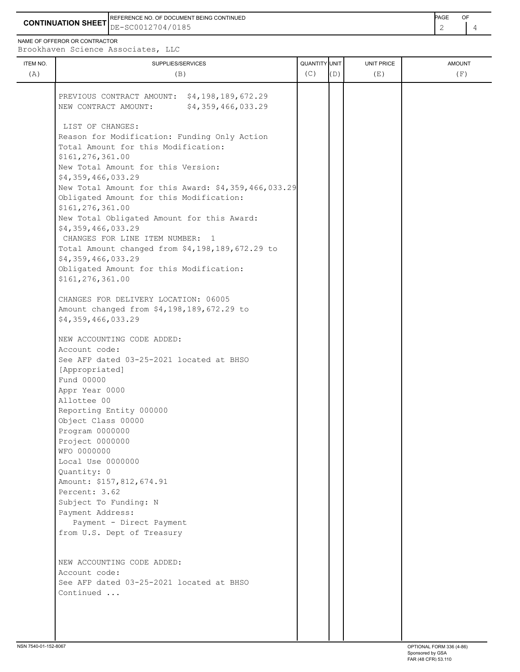**CONTINUATION SHEET** DE-SC0012704/0185 REFERENCE NO. OF DOCUMENT BEING CONTINUED **EXAMPLE A CONTINUED** 

NAME OF OFFEROR OR CONTRACTOR

Brookhaven Science Associates, LLC

| ITEM NO.<br>(A) | SUPPLIES/SERVICES<br>(B)                                                                   | QUANTITY UNIT<br>(C) | (D) | UNIT PRICE<br>(E) | <b>AMOUNT</b><br>(F) |
|-----------------|--------------------------------------------------------------------------------------------|----------------------|-----|-------------------|----------------------|
|                 |                                                                                            |                      |     |                   |                      |
|                 | PREVIOUS CONTRACT AMOUNT: \$4,198,189,672.29<br>\$4,359,466,033.29<br>NEW CONTRACT AMOUNT: |                      |     |                   |                      |
|                 | LIST OF CHANGES:                                                                           |                      |     |                   |                      |
|                 | Reason for Modification: Funding Only Action                                               |                      |     |                   |                      |
|                 | Total Amount for this Modification:                                                        |                      |     |                   |                      |
|                 | \$161,276,361.00                                                                           |                      |     |                   |                      |
|                 | New Total Amount for this Version:                                                         |                      |     |                   |                      |
|                 | \$4,359,466,033.29<br>New Total Amount for this Award: \$4,359,466,033.29                  |                      |     |                   |                      |
|                 | Obligated Amount for this Modification:<br>\$161,276,361.00                                |                      |     |                   |                      |
|                 | New Total Obligated Amount for this Award:                                                 |                      |     |                   |                      |
|                 | \$4,359,466,033.29                                                                         |                      |     |                   |                      |
|                 | CHANGES FOR LINE ITEM NUMBER: 1                                                            |                      |     |                   |                      |
|                 | Total Amount changed from \$4,198,189,672.29 to                                            |                      |     |                   |                      |
|                 | \$4,359,466,033.29<br>Obligated Amount for this Modification:                              |                      |     |                   |                      |
|                 | \$161,276,361.00                                                                           |                      |     |                   |                      |
|                 | CHANGES FOR DELIVERY LOCATION: 06005                                                       |                      |     |                   |                      |
|                 | Amount changed from \$4,198,189,672.29 to                                                  |                      |     |                   |                      |
|                 | \$4,359,466,033.29                                                                         |                      |     |                   |                      |
|                 | NEW ACCOUNTING CODE ADDED:                                                                 |                      |     |                   |                      |
|                 | Account code:                                                                              |                      |     |                   |                      |
|                 | See AFP dated 03-25-2021 located at BHSO<br>[Appropriated]                                 |                      |     |                   |                      |
|                 | Fund 00000                                                                                 |                      |     |                   |                      |
|                 | Appr Year 0000                                                                             |                      |     |                   |                      |
|                 | Allottee 00                                                                                |                      |     |                   |                      |
|                 | Reporting Entity 000000                                                                    |                      |     |                   |                      |
|                 | Object Class 00000                                                                         |                      |     |                   |                      |
|                 | Program 0000000                                                                            |                      |     |                   |                      |
|                 | Project 0000000<br>WFO 0000000                                                             |                      |     |                   |                      |
|                 | Local Use 0000000                                                                          |                      |     |                   |                      |
|                 | Quantity: 0                                                                                |                      |     |                   |                      |
|                 | Amount: \$157,812,674.91                                                                   |                      |     |                   |                      |
|                 | Percent: 3.62                                                                              |                      |     |                   |                      |
|                 | Subject To Funding: N                                                                      |                      |     |                   |                      |
|                 | Payment Address:                                                                           |                      |     |                   |                      |
|                 | Payment - Direct Payment                                                                   |                      |     |                   |                      |
|                 | from U.S. Dept of Treasury                                                                 |                      |     |                   |                      |
|                 | NEW ACCOUNTING CODE ADDED:                                                                 |                      |     |                   |                      |
|                 | Account code:                                                                              |                      |     |                   |                      |
|                 | See AFP dated 03-25-2021 located at BHSO                                                   |                      |     |                   |                      |
|                 | Continued                                                                                  |                      |     |                   |                      |
|                 |                                                                                            |                      |     |                   |                      |
|                 |                                                                                            |                      |     |                   |                      |
|                 |                                                                                            |                      |     |                   |                      |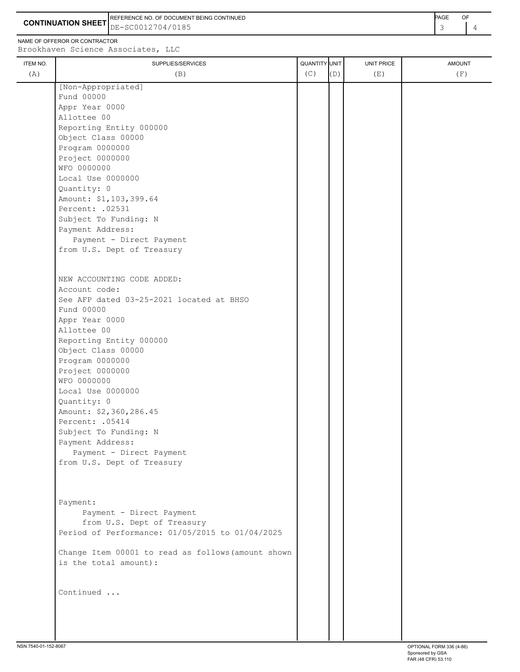**CONTINUATION SHEET** DE-SC0012704/0185 REFERENCE NO. OF DOCUMENT BEING CONTINUED **Example 2008** PAGE OF

NAME OF OFFEROR OR CONTRACTOR

ITEM NO. SUPPLIES/SERVICES AND AMOUNT AMOUNT AMOUNT AND ANOUNT AND SUPPLIES/SERVICES AND AMOUNT AND A LATER AMOUNT Brookhaven Science Associates, LLC (A)  $(B)$  (B)  $(C)$   $(D)$  (E)  $(E)$  (F) [Non-Appropriated] Fund 00000<br>Appr Year 0000 Appr Year 0000

| Appr rear uuuu                                     |  |  |
|----------------------------------------------------|--|--|
| Allottee 00                                        |  |  |
| Reporting Entity 000000                            |  |  |
| Object Class 00000                                 |  |  |
| Program 0000000                                    |  |  |
| Project 0000000                                    |  |  |
| WFO 0000000                                        |  |  |
| Local Use 0000000                                  |  |  |
| Quantity: 0                                        |  |  |
| Amount: \$1,103,399.64                             |  |  |
| Percent: . 02531                                   |  |  |
| Subject To Funding: N                              |  |  |
| Payment Address:                                   |  |  |
| Payment - Direct Payment                           |  |  |
| from U.S. Dept of Treasury                         |  |  |
|                                                    |  |  |
| NEW ACCOUNTING CODE ADDED:                         |  |  |
| Account code:                                      |  |  |
| See AFP dated 03-25-2021 located at BHSO           |  |  |
| Fund 00000                                         |  |  |
| Appr Year 0000                                     |  |  |
| Allottee 00                                        |  |  |
| Reporting Entity 000000                            |  |  |
| Object Class 00000                                 |  |  |
| Program 0000000                                    |  |  |
| Project 0000000                                    |  |  |
| WFO 0000000                                        |  |  |
| Local Use 0000000                                  |  |  |
| Quantity: 0                                        |  |  |
| Amount: \$2,360,286.45                             |  |  |
| Percent: .05414                                    |  |  |
| Subject To Funding: N                              |  |  |
| Payment Address:                                   |  |  |
| Payment - Direct Payment                           |  |  |
| from U.S. Dept of Treasury                         |  |  |
|                                                    |  |  |
|                                                    |  |  |
| Payment:                                           |  |  |
| Payment - Direct Payment                           |  |  |
| from U.S. Dept of Treasury                         |  |  |
| Period of Performance: 01/05/2015 to 01/04/2025    |  |  |
| Change Item 00001 to read as follows (amount shown |  |  |
| is the total amount):                              |  |  |
| Continued                                          |  |  |
|                                                    |  |  |
|                                                    |  |  |
|                                                    |  |  |
|                                                    |  |  |